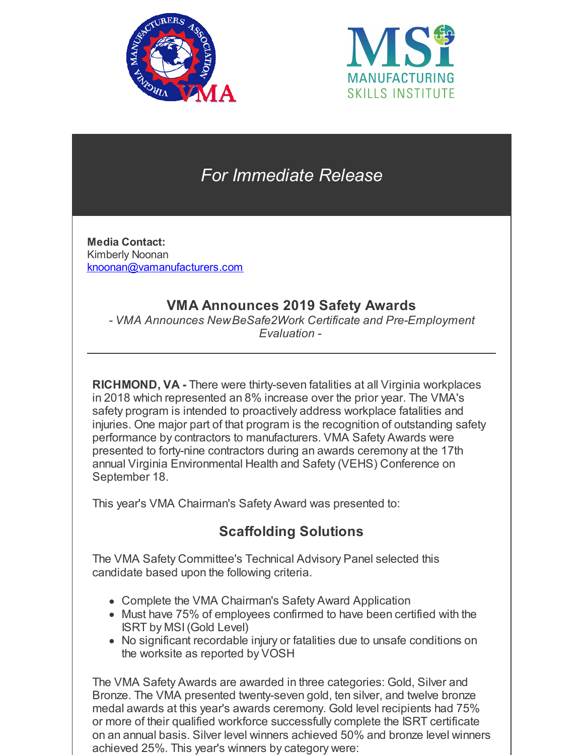



# *For Immediate Release*

**Media Contact:** Kimberly Noonan [knoonan@vamanufacturers.com](mailto:knoonan@vamanufacturers.com)

## **VMA Announces 2019 Safety Awards**

*- VMA Announces NewBeSafe2Work Certificate and Pre-Employment Evaluation -*

**RICHMOND, VA -** There were thirty-seven fatalities at all Virginia workplaces in 2018 which represented an 8% increase over the prior year. The VMA's safety program is intended to proactively address workplace fatalities and injuries. One major part of that program is the recognition of outstanding safety performance by contractors to manufacturers. VMA Safety Awards were presented to forty-nine contractors during an awards ceremony at the 17th annual Virginia Environmental Health and Safety (VEHS) Conference on September 18.

This year's VMA Chairman's Safety Award was presented to:

# **Scaffolding Solutions**

The VMA Safety Committee's Technical Advisory Panel selected this candidate based upon the following criteria.

- Complete the VMA Chairman's Safety Award Application
- Must have 75% of employees confirmed to have been certified with the ISRT by MSI(Gold Level)
- No significant recordable injury or fatalities due to unsafe conditions on the worksite as reported by VOSH

The VMA Safety Awards are awarded in three categories: Gold, Silver and Bronze. The VMA presented twenty-seven gold, ten silver, and twelve bronze medal awards at this year's awards ceremony. Gold level recipients had 75% or more of their qualified workforce successfully complete the ISRT certificate on an annual basis. Silver level winners achieved 50% and bronze level winners achieved 25%. This year's winners by category were: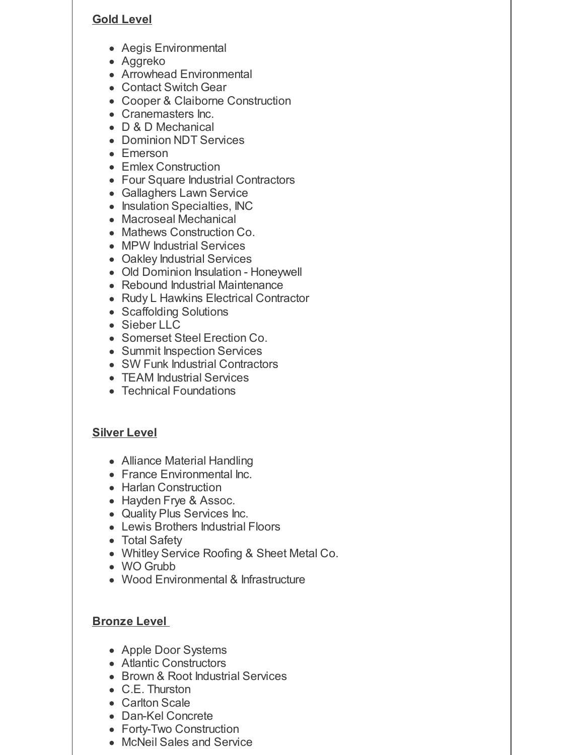#### **Gold Level**

- Aegis Environmental
- Aggreko
- Arrowhead Environmental
- Contact Switch Gear
- Cooper & Claiborne Construction
- Cranemasters Inc.
- D & D Mechanical
- Dominion NDT Services
- Emerson
- Emlex Construction
- Four Square Industrial Contractors
- Gallaghers Lawn Service
- Insulation Specialties, INC
- Macroseal Mechanical
- Mathews Construction Co.
- MPW Industrial Services
- Oakley Industrial Services
- Old Dominion Insulation Honeywell
- Rebound Industrial Maintenance
- Rudy L Hawkins Electrical Contractor
- Scaffolding Solutions
- Sieber LLC
- Somerset Steel Erection Co.
- Summit Inspection Services
- SW Funk Industrial Contractors
- TEAM Industrial Services
- Technical Foundations

### **Silver Level**

- Alliance Material Handling
- France Environmental Inc.
- Harlan Construction
- Hayden Frye & Assoc.
- Quality Plus Services Inc.
- Lewis Brothers Industrial Floors
- Total Safety
- Whitley Service Roofing & Sheet Metal Co.
- WO Grubb
- Wood Environmental & Infrastructure

### **Bronze Level**

- Apple Door Systems
- Atlantic Constructors
- Brown & Root Industrial Services
- C.E. Thurston
- Carlton Scale
- Dan-Kel Concrete
- Forty-Two Construction
- McNeil Sales and Service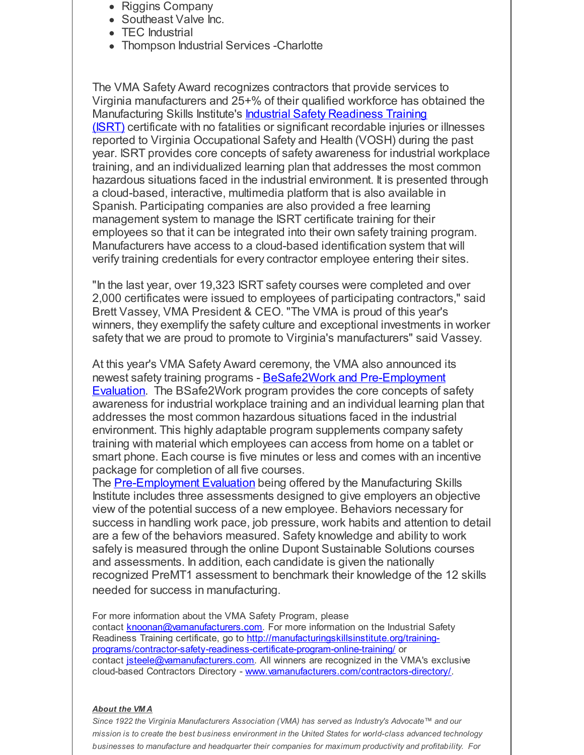- Riggins Company
- Southeast Valve Inc.
- TEC Industrial
- Thompson Industrial Services -Charlotte

The VMA Safety Award recognizes contractors that provide services to Virginia manufacturers and 25+% of their qualified workforce has obtained the [Manufacturing](http://manufacturingskillsinstitute.org/training-programs/contractor-safety-readiness-certificate-program-online-training/) Skills Institute's Industrial Safety Readiness Training (ISRT) certificate with no fatalities or significant recordable injuries or illnesses reported to Virginia Occupational Safety and Health (VOSH) during the past year. ISRT provides core concepts of safety awareness for industrial workplace training, and an individualized learning plan that addresses the most common hazardous situations faced in the industrial environment. It is presented through a cloud-based, interactive, multimedia platform that is also available in Spanish. Participating companies are also provided a free learning management system to manage the ISRT certificate training for their employees so that it can be integrated into their own safety training program. Manufacturers have access to a cloud-based identification system that will verify training credentials for every contractor employee entering their sites.

"In the last year, over 19,323 ISRT safety courses were completed and over 2,000 certificates were issued to employees of participating contractors," said Brett Vassey, VMA President & CEO. "The VMA is proud of this year's winners, they exemplify the safety culture and exceptional investments in worker safety that we are proud to promote to Virginia's manufacturers" said Vassey.

At this year's VMA Safety Award ceremony, the VMA also announced its newest safety training programs - BeSafe2Work and [Pre-Employment](http://manufacturingskillsinstitute.org/introducing-new-msi-products/) Evaluation. The BSafe2Work program provides the core concepts of safety awareness for industrial workplace training and an individual learning plan that addresses the most common hazardous situations faced in the industrial environment. This highly adaptable program supplements company safety training with material which employees can access from home on a tablet or smart phone. Each course is five minutes or less and comes with an incentive package for completion of all five courses.

The [Pre-Employment](http://manufacturingskillsinstitute.org/introducing-new-msi-products/) Evaluation being offered by the Manufacturing Skills Institute includes three assessments designed to give employers an objective view of the potential success of a new employee. Behaviors necessary for success in handling work pace, job pressure, work habits and attention to detail are a few of the behaviors measured. Safety knowledge and ability to work safely is measured through the online Dupont Sustainable Solutions courses and assessments. In addition, each candidate is given the nationally recognized PreMT1 assessment to benchmark their knowledge of the 12 skills needed for success in manufacturing.

For more information about the VMA Safety Program, please contact **[knoonan@vamanufacturers.com](mailto:knoonan@vamanufacturers.com)**. For more information on the Industrial Safety Readiness Training certificate, go to http://manufacturingskillsinstitute.org/training[programs/contractor-safety-readiness-certificate-program-online-training/](http://manufacturingskillsinstitute.org/training-programs/contractor-safety-readiness-certificate-program-online-training/) or contact *isteele@vamanufacturers.com*. All winners are recognized in the VMA's exclusive cloud-based Contractors Directory - [www.vamanufacturers.com/contractors-directory/](http://www.vamanufacturers.com/service-providers-directory-new/).

#### *About the VM A*

*Since 1922 the Virginia Manufacturers Association (VMA) has served as Industry's Advocate™ and our mission is to create the best business environment in the United States for world-class advanced technology businesses to manufacture and headquarter their companies for maximum productivity and profitability. For*